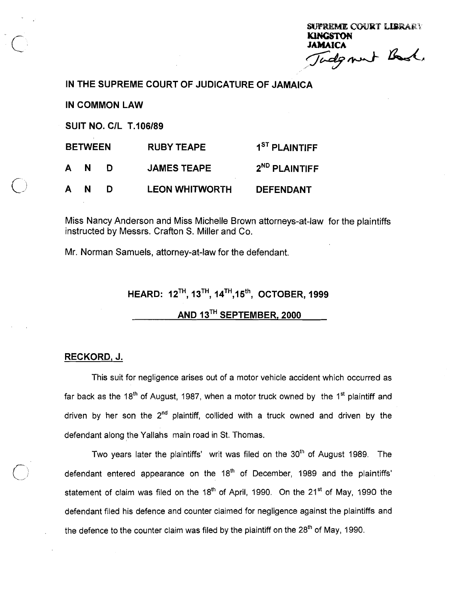**REME COURT LIBRARY** dg net Book

**IN THE SUPREME COURT OF JUDICATURE OF JAMAICA** 

**IN COMMON LAW** 

**SUIT NO. CIL T.106189** 

| SUIT NO. CIL 1.106/89 |   |   |                       |                           |
|-----------------------|---|---|-----------------------|---------------------------|
| <b>BETWEEN</b>        |   |   | <b>RUBY TEAPE</b>     | 1 <sup>ST</sup> PLAINTIFF |
| A                     | N | D | <b>JAMES TEAPE</b>    | 2 <sup>ND</sup> PLAINTIFF |
| A                     | N | D | <b>LEON WHITWORTH</b> | <b>DEFENDANT</b>          |

Miss Nancy Anderson and Miss Michelle Brown attorneys-at-law for the plaintiffs instructed by Messrs. Crafton S. Miller and Co.

Mr. Norman Samuels, attorney-at-law for the defendant.

# **HEARD:** 1 **2TH,** 1 **3TH,** 14~~~1 **5th, OCTOBER,** 1999

**AND** 13~~ **SEPTEMBER, 2000** 

## **RECKORD, J.**

This suit for negligence arises out of a motor vehicle accident which occurred as far back as the 18<sup>th</sup> of August, 1987, when a motor truck owned by the 1<sup>st</sup> plaintiff and driven by her son the **2"d** plaintiff, collided with a truck owned and driven by the defendant along the Yallahs main road in St. Thomas.

Two years later the plaintiffs' writ was filed on the 30<sup>th</sup> of August 1989. The defendant entered appearance on the 18<sup>th</sup> of December, 1989 and the plaintiffs' statement of claim was filed on the  $18<sup>th</sup>$  of April, 1990. On the 21<sup>st</sup> of May, 1990 the defendant filed his defence and counter claimed for negligence against the plaintiffs and the defence to the counter claim was filed by the plaintiff on the  $28<sup>th</sup>$  of May, 1990.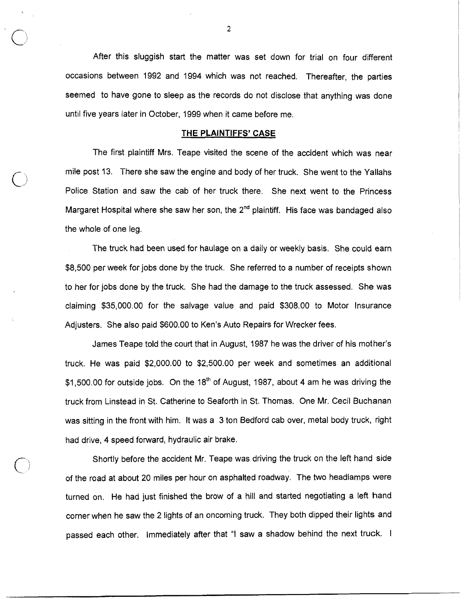After this sluggish start the matter was set down for trial on four different occasions between **1992** and **1994** which was not reached. Thereafter, the parties seemed to have gone to sleep as the records do not disclose that anything was done until five years later in October, **1999** when it came before me.

### **THE PLAINTIFFS' CASE**

The first plaintiff Mrs. Teape visited the scene of the accident which was near mile post **13.** There she saw the engine and body of her truck. She went to the Yallahs Police Station and saw the cab of her truck there. She next went to the Princess Margaret Hospital where she saw her son, the **2"** plaintiff. His face was bandaged also the whole of one leg.

The truck had been used for haulage on a daily or weekly basis. She could earn **\$8,500** per week for jobs done by the truck. She referred to a number of receipts shown to her for jobs done by the truck. She had the damage to the truck assessed. She was claiming **\$35,000.00** for the salvage value and paid **\$308.00** to Motor Insurance Adjusters. She also paid **\$600.00** to Ken's Auto Repairs for Wrecker fees.

James Teape told the court that in August, **1987** he was the driver of his mother's truck. He was paid **\$2,000.00** to **\$2,500.00** per week and sometimes an additional **\$1,500.00** for outside jobs. On the **18'~** of ~ugust, **1987,** about **4** am he was driving the truck from Linstead in St. Catherine to Seaforth in St. Thomas. One Mr. Cecil Buchanan was sitting in the front with him. It was a **3** ton Bedford cab over, metal body truck, right had drive, **4** speed forward, hydraulic air brake.

Shortly before the accident Mr. Teape was driving the truck on the left hand side of the road at about **20** miles per hour on asphalted roadway. The two headlamps were turned on. He had just finished the brow of a hill and started negotiating a left hand corner when he saw the **2** lights of an oncoming truck. They both dipped their lights and passed each other. Immediately after that "I saw a shadow behind the next truck. I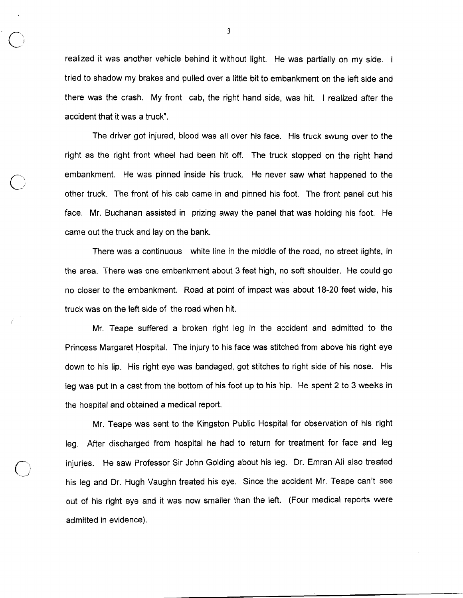realized it was another vehicle behind it without light. He was partially on my side. I tried to shadow my brakes and pulled over a little bit to embankment on the left side and there was the crash. My front cab, the right hand side, was hit. I realized after the accident that it was a truck".

The driver got injured, blood was all over his face. His truck swung over to the right as the right front wheel had been hit off. The truck stopped on the right hand embankment. He was pinned inside his truck. He never saw what happened to the other truck. The front of his cab came in and pinned his foot. The front panel cut his face. Mr. Buchanan assisted in prizing away the panel that was holding his foot. He came out the truck and lay on the bank.

There was a continuous white line in the middle of the road, no street lights, in the area. There was one embankment about 3 feet high, no soft shoulder. He could go no closer to the embankment. Road at point of impact was about 18-20 feet wide, his truck was on the left side of the road when hit.

Mr. Teape suffered a broken right leg in the accident and admitted to the Princess Margaret Hospital. The injury to his face was stitched from above his right eye down to his lip. His right eye was bandaged, got stitches to right side of his nose. His leg was put in a cast from the bottom of his foot up to his hip. He spent 2 to 3 weeks in the hospital and obtained a medical report.

Mr. Teape was sent to the Kingston Public Hospital for observation of his right leg. After discharged from hospital he had to return for treatment for face and leg injuries. He saw Professor Sir John Golding about his leg. Dr. Emran Ali also treated his leg and Dr. Hugh Vaughn treated his eye. Since the accident Mr. Teape can't see out of his right eye and it was now smaller than the left. (Four medical reports were admitted in evidence).

 $\overline{\mathbf{3}}$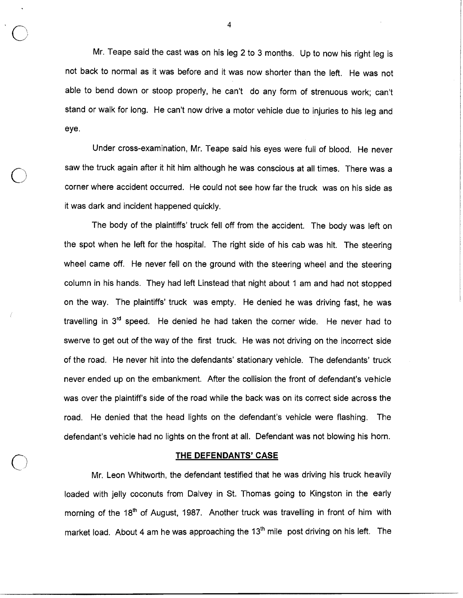Mr. Teape said the cast was on his leg 2 to 3 months. Up to now his right leg is not back to normal as it was before and it was now shorter than the left. He was not able to bend down or stoop properly, he can't do any form of strenuous work; can't stand or walk for long. He can't now drive a motor vehicle due to injuries to his leg and eye.

Under cross-examination, Mr. Teape said his eyes were full of blood. He never saw the truck again after it hit him although he was conscious at all times. There was a corner where accident occurred. He could not see how far the truck was on his side as it was dark and incident happened quickly.

The body of the plaintiffs' truck fell off from the accident. The body was left on the spot when he left for the hospital. The right side of his cab was hit. The steering wheel came off. He never fell on the ground with the steering wheel and the steering column in his hands. They had left Linstead that night about 1 am and had not stopped on the way. The plaintiffs' truck was empty. He denied he was driving fast, he was travelling in 3<sup>rd</sup> speed. He denied he had taken the corner wide. He never had to swerve to get out of the way of the first truck. He was not driving on the incorrect side of the road. He never hit into the defendants' stationary vehicle. The defendants' truck never ended up on the embankment. After the collision the front of defendant's vehicle was over the plaintiff's side of the road while the back was on its correct side across the road. He denied that the head lights on the defendant's vehicle were flashing. The defendant's vehicle had no lights on the front at all. Defendant was not blowing his horn.

#### **THE DEFENDANTS' CASE**

Mr. Leon Whitworth, the defendant testified that he was driving his truck heavily loaded with jelly coconuts from Dalvey in St. Thomas going to Kingston in the early morning of the 18<sup>th</sup> of August, 1987. Another truck was travelling in front of him with market load. About 4 am he was approaching the  $13<sup>th</sup>$  mile post driving on his left. The

 $\overline{\mathbf{4}}$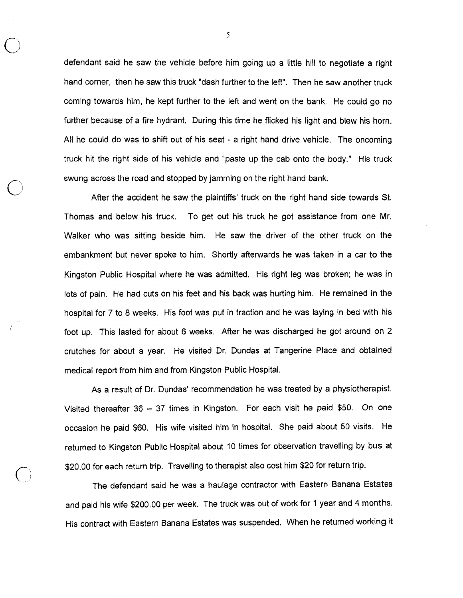defendant said he saw the vehicle before him going up a little hill to negotiate a right hand corner, then he saw this truck "dash further to the left". Then he saw another truck coming towards him, he kept further to the left and went on the bank. He could go no further because of a fire hydrant. During this time he flicked his light and blew his horn. All he could do was to shift out of his seat - a right hand drive vehicle. The oncoming truck hit the right side of his vehicle and "paste up the cab onto the body." His truck swung across the road and stopped by jamming on the right hand bank.

After the accident he saw the plaintiffs' truck on the right hand side towards St. Thomas and below his truck. To get out his truck he got assistance from one Mr. Walker who was sitting beside him. He saw the driver of the other truck on the embankment but never spoke to him. Shortly afterwards he was taken in a car to the Kingston Public Hospital where he was admitted. His right leg was broken; he was in lots of pain. He had cuts on his feet and his back was hurting him. He remained in the hospital for 7 to 8 weeks. His foot was put in traction and he was laying in bed with his foot up. This lasted for about 6 weeks. After he was discharged he got around on 2 crutches for about a year. He visited Dr. Dundas at Tangerine Place and obtained medical report from him and from Kingston Public Hospital.

As a result of Dr. Dundas' recommendation he was treated by a physiotherapist. Visited thereafter 36 - 37 times in Kingston. For each visit he paid \$50. On one occasion he paid \$60. His wife visited him in hospital. She paid about 50 visits. He returned to Kingston Public Hospital about 10 times for observation travelling by bus at \$20.00 for each return trip. Travelling to therapist also cost him \$20 for return trip.

The defendant said he was a haulage contractor with Eastern Banana Estates and paid his wife \$200.00 per week. The truck was out of work for 1 year and 4 months. His contract with Eastern Banana Estates was suspended. When he returned working it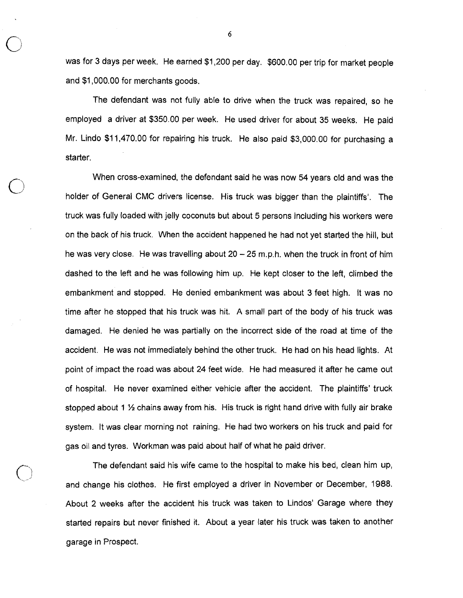was for 3 days per week. He earned \$1,200 per day. \$600,00 per trip for market people and \$1,000.00 for merchants goods.

The defendant was not fully able to drive when the truck was repaired, so he employed a driver at \$350.00 per week. He used driver for about 35 weeks. He paid Mr. Lindo \$11,470.00 for repairing his truck. He also paid \$3,000.00 for purchasing a starter.

When cross-examined, the defendant said he was now 54 years old and was the holder of General CIVC drivers license. His truck was bigger than the plaintiffs'. The truck was fully loaded with jelly coconuts but about 5 persons including his workers were on the back of his truck. When the accident happened he had not yet started the hill, but he was very close. He was travelling about  $20 - 25$  m.p.h. when the truck in front of him dashed to the left and he was following him up. He kept closer to the left, climbed the embankment and stopped. He denied embankment was about 3 feet high. It was no time after he stopped that his truck was hit. A small part of the body of his truck was damaged. He denied he was partially on the incorrect side of the road at time of the accident. He was not immediately behind the other truck. He had on his head lights. At point of impact the road was about 24 feet wide. He had measured it after he came out of hospital. He never examined either vehicle after the accident. The plaintiffs' truck stopped about 1 **1/2** chains away from his. His truck is right hand drive with fully air brake system. It was clear morning not raining. He had two workers on his truck and paid for gas oil and tyres. Workman was paid about half of what he paid driver.

The defendant said his wife came to the hospital to make his bed, clean him up, and change his clothes. He first employed a driver in November or December, 1988. About 2 weeks after the accident his truck was taken to Lindos' Garage where they started repairs but never finished it. About a year later his truck was taken to another garage in Prospect.

 $\epsilon$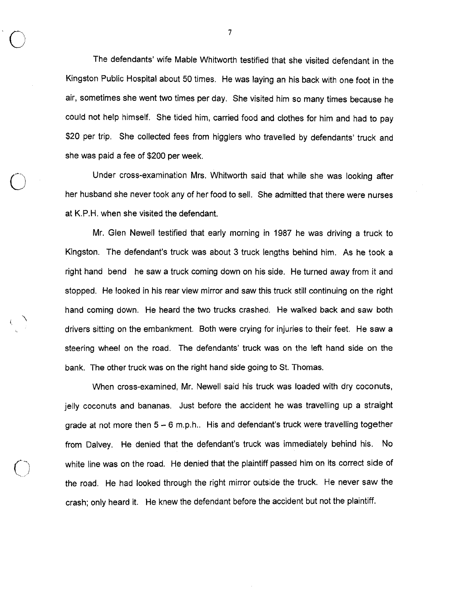The defendants' wife Mable Whitworth testified that she visited defendant in the Kingston Public Hospital about 50 times. He was laying an his back with one foot in the air, sometimes she went two times per day. She visited him so many times because he could not help himself. She tided him, carried food and clothes for him and had to pay \$20 per trip. She collected fees from higglers who travelled by defendants' truck and she was paid a fee of \$200 per week.

Under cross-examination Mrs. Whitworth said that while she was looking after her husband she never took any of her food to sell. She admitted that there were nurses at K.P.H. when she visited the defendant.

Mr. Glen Newell testified that early morning in 1987 he was driving a truck to Kingston. The defendant's truck was about 3 truck lengths behind him. As he took a right hand bend he saw a truck coming down on his side. He turned away from it and stopped. He looked in his rear view mirror and saw this truck still continuing on the right hand coming down. He heard the two trucks crashed. He walked back and saw both drivers sitting on the embankment. Both were crying for injuries to their feet. He saw a steering wheel on the road. The defendants' truck was on the left hand side on the bank. The other truck was on the right hand side going to St. Thomas.

 $\sqrt{1}$ 

When cross-examined, Mr. Newell said his truck was loaded with dry coconuts, jelly coconuts and bananas. Just before the accident he was travelling up a straight grade at not more then  $5 - 6$  m.p.h.. His and defendant's truck were travelling together from Dalvey. He denied that the defendant's truck was immediately behind his. No white line was on the road. He denied that the plaintiff passed him on its correct side of the road. He had looked through the right mirror outside the truck. He never saw the crash; only heard it. He knew the defendant before the accident but not the plaintiff.

 $\overline{7}$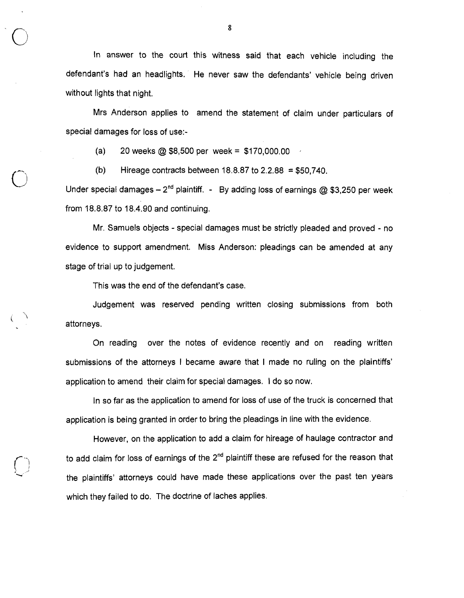In answer to the court this witness said that each vehicle including the defendant's had an headlights. He never saw the defendants' vehicle being driven without lights that night.

Mrs Anderson applies to amend the statement of claim under particulars of special damages for loss of use:-

(a) 20 weeks @ \$8,500 per week = \$170,000.00

(b) Hireage contracts between 18.8.87 to  $2.2.88 = $50.740$ .

Under special damages  $-2^{nd}$  plaintiff. - By adding loss of earnings @ \$3,250 per week from 18.8.87 to 18.4.90 and continuing.

Mr. Samuels objects - special damages must be strictly pleaded and proved - no evidence to support amendment. Miss Anderson: pleadings can be amended at any stage of trial up to judgement.

This was the end of the defendant's case.

 $\begin{pmatrix} 1 \\ 1 \end{pmatrix}$ 

Judgement was reserved pending written closing submissions from both attorneys.

On reading over the notes of evidence recently and on reading written submissions of the attorneys I became aware that I made no ruling on the plaintiffs' application to amend their claim for special damages. I do so now.

In so far as the application to amend for loss of use of the truck is concerned that application is being granted in order to bring the pleadings in line with the evidence.

However, on the application to add a claim for hireage of haulage contractor and to add claim for loss of earnings of the  $2<sup>nd</sup>$  plaintiff these are refused for the reason that the plaintiffs' attorneys could have made these applications over the past ten years which they failed to do. The doctrine of laches applies.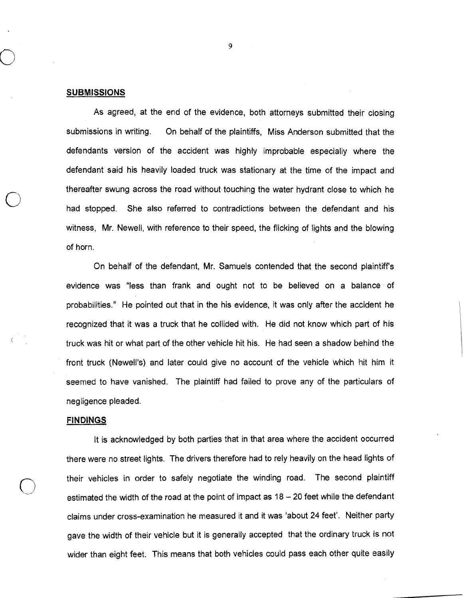#### **SUBMISSIONS**

As agreed, at the end of the evidence, both attorneys submitted their closing submissions in writing. On behalf of the plaintiffs, Miss Anderson submitted that the defendants version of the accident was highly improbable especially where the defendant said his heavily loaded truck was stationary at the time of the impact and thereafter swung across the road without touching the water hydrant close to which he had stopped. She also referred to contradictions between the defendant and his witness, Mr. Newell, with reference to their speed, the flicking of lights and the blowing of horn.

On behalf of the defendant, Mr. Samuels contended that the second plaintiff's evidence was "less than frank and ought not to be believed on a balance of probabilities." He pointed out that in the his evidence, it was only after the accident he recognized that it was a truck that he collided with. He did not know which part of his truck was hit or what part of the other vehicle hit his. He had seen a shadow behind the front truck (Newell's) and later could give no account of the vehicle which hit him it seemed to have vanished. The plaintiff had failed to prove any of the particulars of negligence pleaded.

#### **FINDINGS**

It is acknowledged by both parties that in that area where the accident occurred there were no street lights. The drivers therefore had to rely heavily on the head lights of their vehicles in order to safely negotiate the winding road. The second plaintiff estimated the width of the road at the point of impact as  $18 - 20$  feet while the defendant claims under cross-examination he measured it and it was 'about 24 feet'. Neither party gave the width of their vehicle but it is generally accepted that the ordinary truck is not wider than eight feet. This means that both vehicles could pass each other quite easily

 $\mathbf{9}$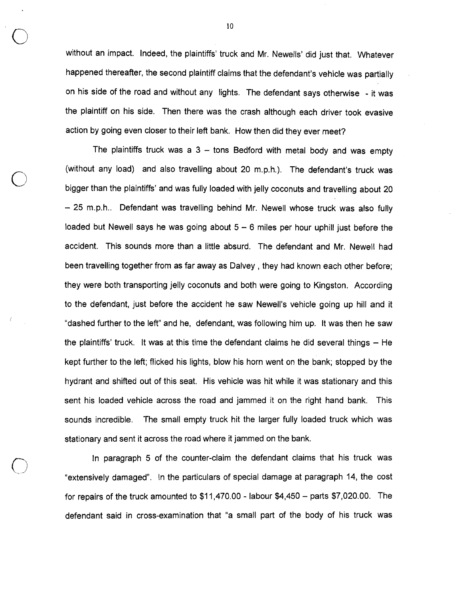without an impact. Indeed, the plaintiffs' truck and Mr. Newells' did just that. Whatever happened thereafter, the second plaintiff claims that the defendant's vehicle was partially on his side of the road and without any lights. The defendant says otherwise - it was the plaintiff on his side. Then there was the crash although each driver took evasive action by going even closer to their left bank. How then did they ever meet?

The plaintiffs truck was a  $3 -$  tons Bedford with metal body and was empty (without any load) and also travelling about 20 m.p.h.). The defendant's truck was bigger than the plaintiffs' and was fully loaded with jelly coconuts and travelling about 20 - 25 m.p.h.. Defendant was travelling behind Mr. Newell whose truck was also fully loaded but Newell says he was going about  $5 - 6$  miles per hour uphill just before the accident. This sounds more than a little absurd. The defendant and Mr. Newell had been travelling together from as far away as Dalvey , they had known each other before; they were both transporting jelly coconuts and both were going to Kingston. According to the defendant, just before the accident he saw Newell's vehicle going up hill and it "dashed further to the left" and he, defendant, was following him up. It was then he saw the plaintiffs' truck. It was at this time the defendant claims he did several things  $-$  He kept further to the left; flicked his lights, blow his horn went on the bank; stopped by the hydrant and shifted out of this seat. His vehicle was hit while it was stationary and this sent his loaded vehicle across the road and jammed it on the right hand bank. 'This sounds incredible. 'The small empty truck hit the larger fully loaded truck which was stationary and sent it across the road where it jammed on the bank.

In paragraph 5 of the counter-claim the defendant claims that his truck was "extensively damaged". In the particulars of special damage at paragraph 14, the cost for repairs of the truck amounted to  $$11,470.00$  - labour  $$4,450$  - parts  $$7,020.00$ . The defendant said in cross-examination that "a small part of the body of his truck was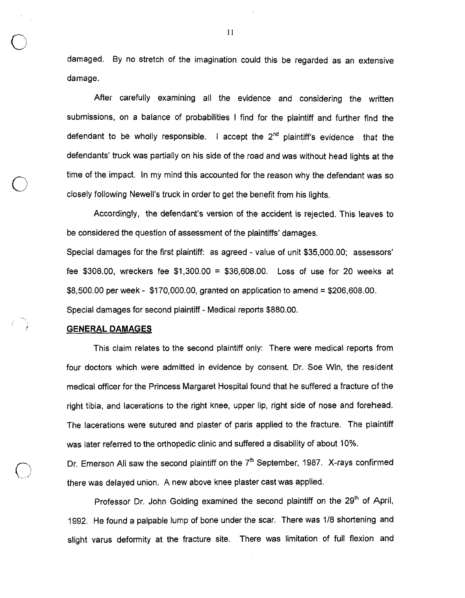damaged. By no stretch of the imagination could this be regarded as an extensive damage.

After carefully examining all the evidence and considering the written submissions, on a balance of probabilities I find for the plaintiff and further find the defendant to be wholly responsible. I accept the  $2^{nd}$  plaintiff's evidence that the defendants' truck was partially on his side of the road and was without head lights at the time of the impact. In my mind this accounted for the reason why the defendant was so closely following Newell's truck in order to get the benefit from his lights.

Accordingly, the defendant's version of the accident is rejected. This leaves to be considered the question of assessment of the plaintiffs' damages.

Special damages for the first plaintiff: as agreed - value of unit \$35,000.00; assessors' fee \$308.00, wreckers fee \$1,300.00 = \$36,608.00. Loss of use for 20 weeks at \$8,500.00 per week - \$170,000.00, granted on application to amend = \$206,608.00. Special damages for second plaintiff - Medical reports \$880.00.

#### ( I **GENERAL DAMAGES**

 $\bigcirc$ 

This claim relates to the second plaintiff only: There were medical reports from four doctors which were admitted in evidence by consent. Dr. Soe Win, the resident medical officer for the Princess Margaret Hospital found that he suffered a fracture of the right tibia, and lacerations to the right knee, upper lip, right side of nose and forehead. The lacerations were sutured and plaster of paris applied to the fracture. The plaintiff was later referred to the orthopedic clinic and suffered a disability of about 10%.

Dr. Emerson Ali saw the second plaintiff on the  $7<sup>th</sup>$  September, 1987. X-rays confirmed there was delayed union. A new above knee plaster cast was applied.

Professor Dr. John Golding examined the second plaintiff on the 29<sup>th</sup> of April. 1992. He found a palpable lump of bone under the scar. There was 118 shortening and slight varus deformity at the fracture site. There was limitation of full flexion and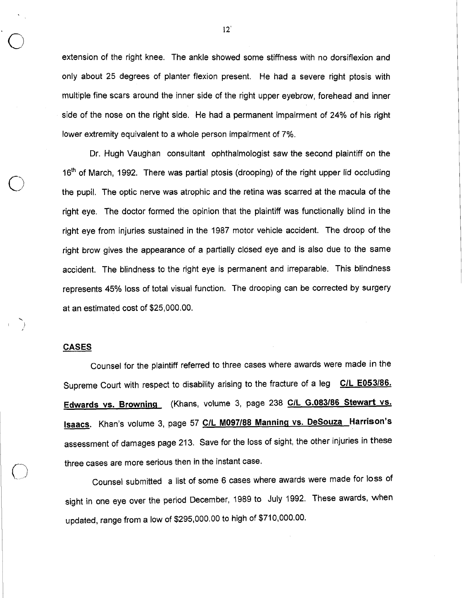extension of the right knee. The ankle showed some stiffness with no dorsiflexion and only about 25 degrees of planter flexion present. He had a severe right ptosis with multiple fine scars around the inner side of the right upper eyebrow, forehead and inner side of the nose on the right side. He had a permanent impairment of 24% of his right lower extremity equivalent to a whole person impairment of 7%.

Dr. Hugh Vaughan consultant ophthalmologist saw the second plaintiff on the 16<sup>th</sup> of March, 1992. There was partial ptosis (drooping) of the right upper lid occluding<br>the pupil. The optic nerve was atrophic and the retina was scarred at the macula of the right eye. The doctor formed the opinion that the plaintiff was functionally blind in the right eye from injuries sustained in the 1987 motor vehicle accident. The droop of the right brow gives the appearance of a partially closed eye and is also due to the same accident. The blindness to the right eye is permanent and irreparable. This blindness represents 45% loss of total visual function. The drooping can be corrected by surgery at an estimated cost of \$25,000.00.

#### **CASES**

<sup>I</sup>:)

Counsel for the plaintiff referred to three cases where awards were made in the Supreme Court with respect to disability arising to the fracture of a leg **CIL E053186.**  Edwards vs. Browning (Khans, volume 3, page 238 C/L G.083/86 Stewart vs. **Isaacs.** Khan's volume 3, page 57 C/L M097/88 Manning vs. DeSouza Harrison's assessment of damages page 213. Save for the loss of sight, the other injuries in these three cases are more serious then in the instant case.

Counsel submitted a list of some 6 cases where awards were made for loss of sight in one eye over the period December, 1989 to July 1992. These awards, when updated, range from a low of \$295.000.00 to high of \$710,000.00.

 $12<sup>′</sup>$